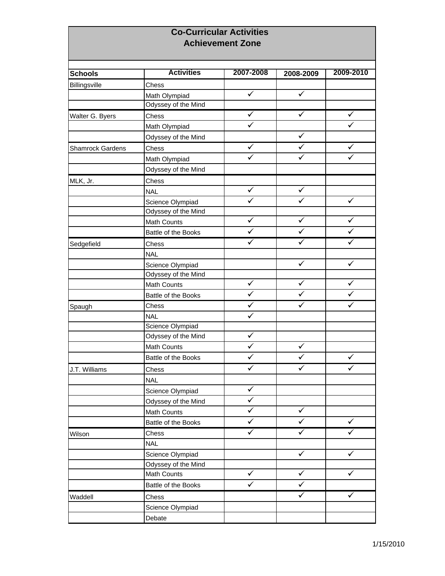## **Co-Curricular Activities Achievement Zone**

| <b>Schools</b>          | <b>Activities</b>   | 2007-2008    | 2008-2009               | 2009-2010               |
|-------------------------|---------------------|--------------|-------------------------|-------------------------|
| Billingsville           | Chess               |              |                         |                         |
|                         | Math Olympiad       | $\checkmark$ | $\checkmark$            |                         |
|                         | Odyssey of the Mind |              |                         |                         |
| Walter G. Byers         | Chess               |              | ✓                       | ✓                       |
|                         | Math Olympiad       |              |                         |                         |
|                         | Odyssey of the Mind |              | $\checkmark$            |                         |
| <b>Shamrock Gardens</b> | Chess               | $\checkmark$ | $\checkmark$            | $\checkmark$            |
|                         | Math Olympiad       | ✓            | $\overline{\checkmark}$ | $\overline{\checkmark}$ |
|                         | Odyssey of the Mind |              |                         |                         |
| MLK, Jr.                | Chess               |              |                         |                         |
|                         | <b>NAL</b>          | $\checkmark$ | $\checkmark$            |                         |
|                         | Science Olympiad    | $\checkmark$ | $\checkmark$            | $\checkmark$            |
|                         | Odyssey of the Mind |              |                         |                         |
|                         | Math Counts         | $\checkmark$ | $\checkmark$            | ✓                       |
|                         | Battle of the Books | $\checkmark$ | $\checkmark$            | $\checkmark$            |
| Sedgefield              | Chess               | $\checkmark$ | $\checkmark$            | ✓                       |
|                         | <b>NAL</b>          |              |                         |                         |
|                         | Science Olympiad    |              | $\checkmark$            | ✓                       |
|                         | Odyssey of the Mind |              |                         |                         |
|                         | Math Counts         | $\checkmark$ | $\checkmark$            | ✓                       |
|                         | Battle of the Books | $\checkmark$ | $\checkmark$            | ✓                       |
| Spaugh                  | Chess               | ✓            | ✓                       | ✓                       |
|                         | <b>NAL</b>          | ✓            |                         |                         |
|                         | Science Olympiad    |              |                         |                         |
|                         | Odyssey of the Mind | $\checkmark$ |                         |                         |
|                         | Math Counts         | ✓            | ✓                       |                         |
|                         | Battle of the Books | $\checkmark$ |                         | $\checkmark$            |
| J.T. Williams           | Chess               | $\checkmark$ |                         | ✓                       |
|                         | <b>NAL</b>          |              |                         |                         |
|                         | Science Olympiad    | ✓            |                         |                         |
|                         | Odyssey of the Mind |              |                         |                         |
|                         | Math Counts         | ✓            | $\checkmark$            |                         |
|                         | Battle of the Books | ✓            | $\checkmark$            | $\checkmark$            |
|                         | Chess               | ✓            | $\checkmark$            | ✓                       |
| Wilson                  | <b>NAL</b>          |              |                         |                         |
|                         | Science Olympiad    |              | $\checkmark$            | $\checkmark$            |
|                         | Odyssey of the Mind |              |                         |                         |
|                         | Math Counts         | $\checkmark$ | $\checkmark$            | $\checkmark$            |
|                         | Battle of the Books | ✓            | $\checkmark$            |                         |
| Waddell                 |                     |              | ✓                       | ✓                       |
|                         | Chess               |              |                         |                         |
|                         | Science Olympiad    |              |                         |                         |
|                         | Debate              |              |                         |                         |